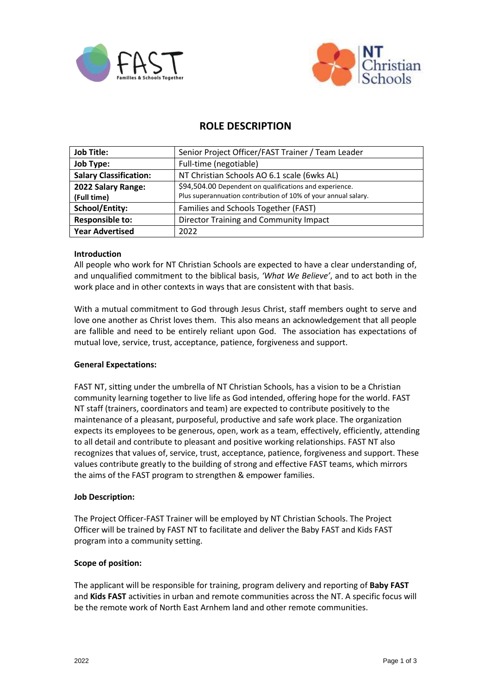



# **ROLE DESCRIPTION**

| <b>Job Title:</b>             | Senior Project Officer/FAST Trainer / Team Leader              |
|-------------------------------|----------------------------------------------------------------|
| <b>Job Type:</b>              | Full-time (negotiable)                                         |
| <b>Salary Classification:</b> | NT Christian Schools AO 6.1 scale (6wks AL)                    |
| 2022 Salary Range:            | \$94,504.00 Dependent on qualifications and experience.        |
| (Full time)                   | Plus superannuation contribution of 10% of your annual salary. |
| <b>School/Entity:</b>         | Families and Schools Together (FAST)                           |
| <b>Responsible to:</b>        | <b>Director Training and Community Impact</b>                  |
| <b>Year Advertised</b>        | 2022                                                           |

# **Introduction**

All people who work for NT Christian Schools are expected to have a clear understanding of, and unqualified commitment to the biblical basis, *'What We Believe'*, and to act both in the work place and in other contexts in ways that are consistent with that basis.

With a mutual commitment to God through Jesus Christ, staff members ought to serve and love one another as Christ loves them. This also means an acknowledgement that all people are fallible and need to be entirely reliant upon God. The association has expectations of mutual love, service, trust, acceptance, patience, forgiveness and support.

#### **General Expectations:**

FAST NT, sitting under the umbrella of NT Christian Schools, has a vision to be a Christian community learning together to live life as God intended, offering hope for the world. FAST NT staff (trainers, coordinators and team) are expected to contribute positively to the maintenance of a pleasant, purposeful, productive and safe work place. The organization expects its employees to be generous, open, work as a team, effectively, efficiently, attending to all detail and contribute to pleasant and positive working relationships. FAST NT also recognizes that values of, service, trust, acceptance, patience, forgiveness and support. These values contribute greatly to the building of strong and effective FAST teams, which mirrors the aims of the FAST program to strengthen & empower families.

#### **Job Description:**

The Project Officer-FAST Trainer will be employed by NT Christian Schools. The Project Officer will be trained by FAST NT to facilitate and deliver the Baby FAST and Kids FAST program into a community setting.

#### **Scope of position:**

The applicant will be responsible for training, program delivery and reporting of **Baby FAST** and **Kids FAST** activities in urban and remote communities across the NT. A specific focus will be the remote work of North East Arnhem land and other remote communities.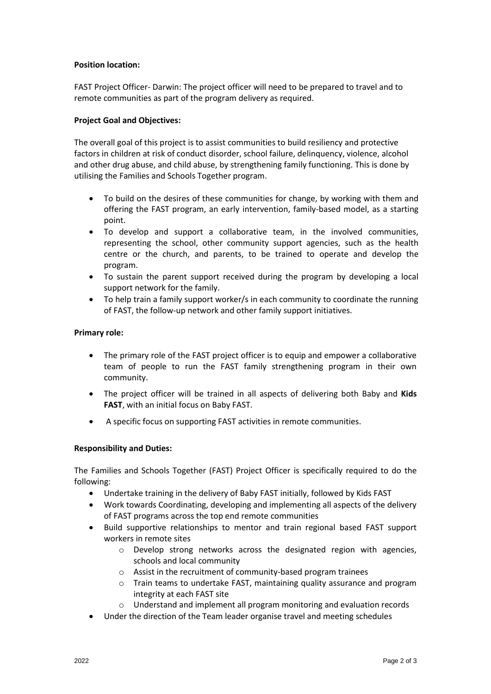# **Position location:**

FAST Project Officer- Darwin: The project officer will need to be prepared to travel and to remote communities as part of the program delivery as required.

# **Project Goal and Objectives:**

The overall goal of this project is to assist communities to build resiliency and protective factors in children at risk of conduct disorder, school failure, delinquency, violence, alcohol and other drug abuse, and child abuse, by strengthening family functioning. This is done by utilising the Families and Schools Together program.

- To build on the desires of these communities for change, by working with them and offering the FAST program, an early intervention, family-based model, as a starting point.
- To develop and support a collaborative team, in the involved communities, representing the school, other community support agencies, such as the health centre or the church, and parents, to be trained to operate and develop the program.
- To sustain the parent support received during the program by developing a local support network for the family.
- To help train a family support worker/s in each community to coordinate the running of FAST, the follow-up network and other family support initiatives.

#### **Primary role:**

- The primary role of the FAST project officer is to equip and empower a collaborative team of people to run the FAST family strengthening program in their own community.
- The project officer will be trained in all aspects of delivering both Baby and **Kids FAST**, with an initial focus on Baby FAST.
- A specific focus on supporting FAST activities in remote communities.

#### **Responsibility and Duties:**

The Families and Schools Together (FAST) Project Officer is specifically required to do the following:

- Undertake training in the delivery of Baby FAST initially, followed by Kids FAST
- Work towards Coordinating, developing and implementing all aspects of the delivery of FAST programs across the top end remote communities
- Build supportive relationships to mentor and train regional based FAST support workers in remote sites
	- $\circ$  Develop strong networks across the designated region with agencies, schools and local community
	- o Assist in the recruitment of community-based program trainees
	- o Train teams to undertake FAST, maintaining quality assurance and program integrity at each FAST site
	- o Understand and implement all program monitoring and evaluation records
- Under the direction of the Team leader organise travel and meeting schedules